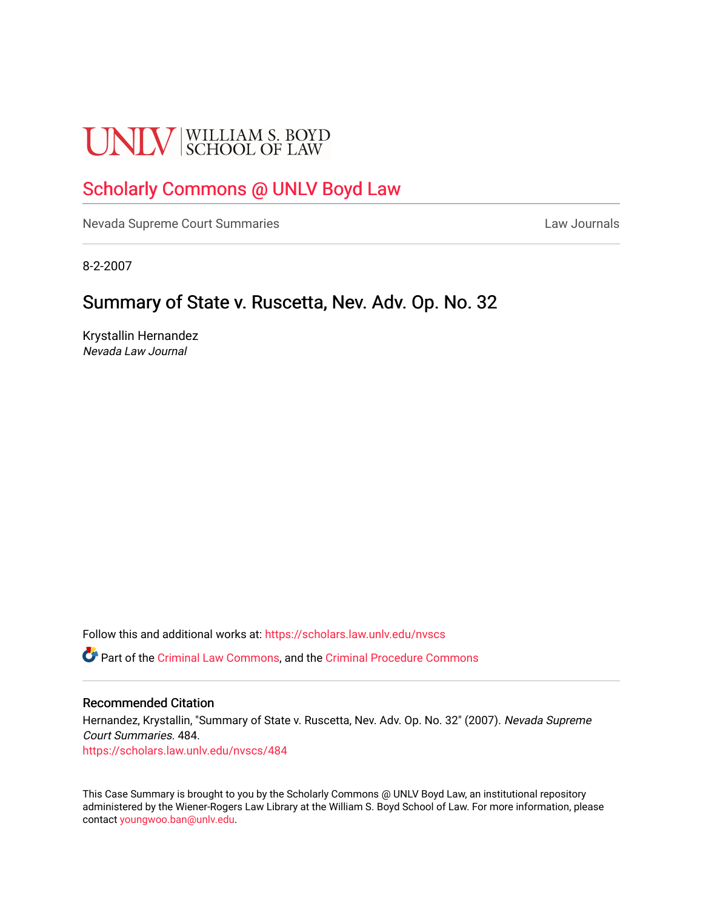# **UNLV** SCHOOL OF LAW

## [Scholarly Commons @ UNLV Boyd Law](https://scholars.law.unlv.edu/)

[Nevada Supreme Court Summaries](https://scholars.law.unlv.edu/nvscs) **Law Journals** Law Journals

8-2-2007

# Summary of State v. Ruscetta, Nev. Adv. Op. No. 32

Krystallin Hernandez Nevada Law Journal

Follow this and additional works at: [https://scholars.law.unlv.edu/nvscs](https://scholars.law.unlv.edu/nvscs?utm_source=scholars.law.unlv.edu%2Fnvscs%2F484&utm_medium=PDF&utm_campaign=PDFCoverPages)

Part of the [Criminal Law Commons,](http://network.bepress.com/hgg/discipline/912?utm_source=scholars.law.unlv.edu%2Fnvscs%2F484&utm_medium=PDF&utm_campaign=PDFCoverPages) and the [Criminal Procedure Commons](http://network.bepress.com/hgg/discipline/1073?utm_source=scholars.law.unlv.edu%2Fnvscs%2F484&utm_medium=PDF&utm_campaign=PDFCoverPages)

#### Recommended Citation

Hernandez, Krystallin, "Summary of State v. Ruscetta, Nev. Adv. Op. No. 32" (2007). Nevada Supreme Court Summaries. 484. [https://scholars.law.unlv.edu/nvscs/484](https://scholars.law.unlv.edu/nvscs/484?utm_source=scholars.law.unlv.edu%2Fnvscs%2F484&utm_medium=PDF&utm_campaign=PDFCoverPages)

This Case Summary is brought to you by the Scholarly Commons @ UNLV Boyd Law, an institutional repository administered by the Wiener-Rogers Law Library at the William S. Boyd School of Law. For more information, please contact [youngwoo.ban@unlv.edu](mailto:youngwoo.ban@unlv.edu).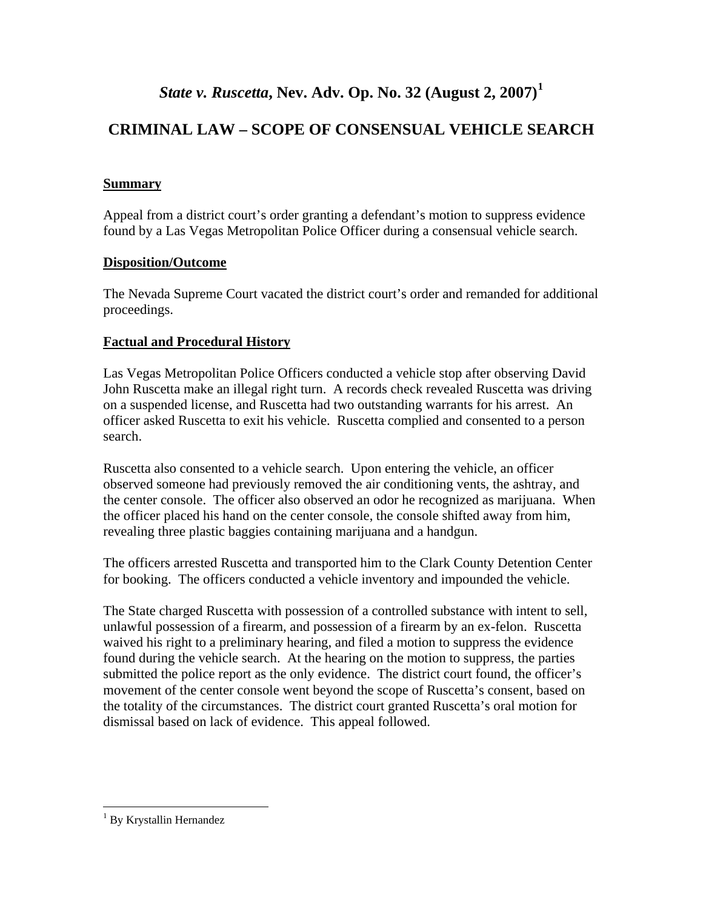### *State v. Ruscetta***, Nev. Adv. Op. No. 32 (August 2, 2007)[1](#page-1-0)**

## **CRIMINAL LAW – SCOPE OF CONSENSUAL VEHICLE SEARCH**

#### **Summary**

Appeal from a district court's order granting a defendant's motion to suppress evidence found by a Las Vegas Metropolitan Police Officer during a consensual vehicle search.

#### **Disposition/Outcome**

The Nevada Supreme Court vacated the district court's order and remanded for additional proceedings.

#### **Factual and Procedural History**

Las Vegas Metropolitan Police Officers conducted a vehicle stop after observing David John Ruscetta make an illegal right turn. A records check revealed Ruscetta was driving on a suspended license, and Ruscetta had two outstanding warrants for his arrest. An officer asked Ruscetta to exit his vehicle. Ruscetta complied and consented to a person search.

Ruscetta also consented to a vehicle search. Upon entering the vehicle, an officer observed someone had previously removed the air conditioning vents, the ashtray, and the center console. The officer also observed an odor he recognized as marijuana. When the officer placed his hand on the center console, the console shifted away from him, revealing three plastic baggies containing marijuana and a handgun.

The officers arrested Ruscetta and transported him to the Clark County Detention Center for booking. The officers conducted a vehicle inventory and impounded the vehicle.

The State charged Ruscetta with possession of a controlled substance with intent to sell, unlawful possession of a firearm, and possession of a firearm by an ex-felon. Ruscetta waived his right to a preliminary hearing, and filed a motion to suppress the evidence found during the vehicle search. At the hearing on the motion to suppress, the parties submitted the police report as the only evidence. The district court found, the officer's movement of the center console went beyond the scope of Ruscetta's consent, based on the totality of the circumstances. The district court granted Ruscetta's oral motion for dismissal based on lack of evidence. This appeal followed.

 $\overline{a}$ 

<span id="page-1-0"></span><sup>&</sup>lt;sup>1</sup> By Krystallin Hernandez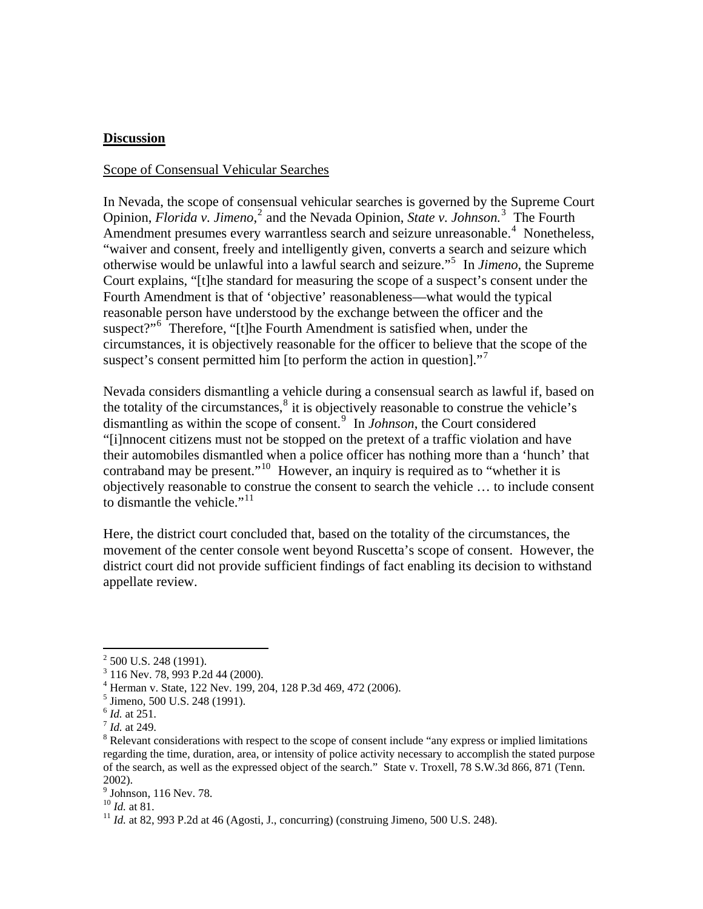#### **Discussion**

#### Scope of Consensual Vehicular Searches

In Nevada, the scope of consensual vehicular searches is governed by the Supreme Court Opinion, *Florida v. Jimeno*,<sup>[2](#page-2-0)</sup> and the Nevada Opinion, *State v. Johnson*.<sup>[3](#page-2-1)</sup> The Fourth Amendment presumes every warrantless search and seizure unreasonable.<sup>[4](#page-2-2)</sup> Nonetheless, "waiver and consent, freely and intelligently given, converts a search and seizure which otherwise would be unlawful into a lawful search and seizure."[5](#page-2-3) In *Jimeno*, the Supreme Court explains, "[t]he standard for measuring the scope of a suspect's consent under the Fourth Amendment is that of 'objective' reasonableness—what would the typical reasonable person have understood by the exchange between the officer and the suspect?"<sup>[6](#page-2-4)</sup> Therefore, "[t]he Fourth Amendment is satisfied when, under the circumstances, it is objectively reasonable for the officer to believe that the scope of the suspect's consent permitted him [to perform the action in question]."<sup>[7](#page-2-5)</sup>

Nevada considers dismantling a vehicle during a consensual search as lawful if, based on the totality of the circumstances, $8$  it is objectively reasonable to construe the vehicle's dismantling as within the scope of consent.<sup>[9](#page-2-7)</sup> In *Johnson*, the Court considered "[i]nnocent citizens must not be stopped on the pretext of a traffic violation and have their automobiles dismantled when a police officer has nothing more than a 'hunch' that contraband may be present."<sup>[10](#page-2-8)</sup> However, an inquiry is required as to "whether it is objectively reasonable to construe the consent to search the vehicle … to include consent to dismantle the vehicle." $11$ 

Here, the district court concluded that, based on the totality of the circumstances, the movement of the center console went beyond Ruscetta's scope of consent. However, the district court did not provide sufficient findings of fact enabling its decision to withstand appellate review.

 2 500 U.S. 248 (1991).

<span id="page-2-1"></span><span id="page-2-0"></span><sup>&</sup>lt;sup>3</sup> 116 Nev. 78, 993 P.2d 44 (2000).

<span id="page-2-2"></span><sup>4</sup> Herman v. State, 122 Nev. 199, 204, 128 P.3d 469, 472 (2006).

<sup>&</sup>lt;sup>5</sup> Jimeno, 500 U.S. 248 (1991).

<span id="page-2-4"></span><span id="page-2-3"></span> $\frac{6}{7}$  *Id.* at 251.<br> $\frac{7}{7}$  *Id.* at 249.

<span id="page-2-6"></span><span id="page-2-5"></span><sup>&</sup>lt;sup>8</sup> Relevant considerations with respect to the scope of consent include "any express or implied limitations" regarding the time, duration, area, or intensity of police activity necessary to accomplish the stated purpose of the search, as well as the expressed object of the search." State v. Troxell, 78 S.W.3d 866, 871 (Tenn. 2002).

 $<sup>9</sup>$  Johnson, 116 Nev. 78.</sup>

<span id="page-2-9"></span><span id="page-2-8"></span>

<span id="page-2-7"></span><sup>&</sup>lt;sup>10</sup> *Id.* at 81.<br><sup>11</sup> *Id.* at 82, 993 P.2d at 46 (Agosti, J., concurring) (construing Jimeno, 500 U.S. 248).